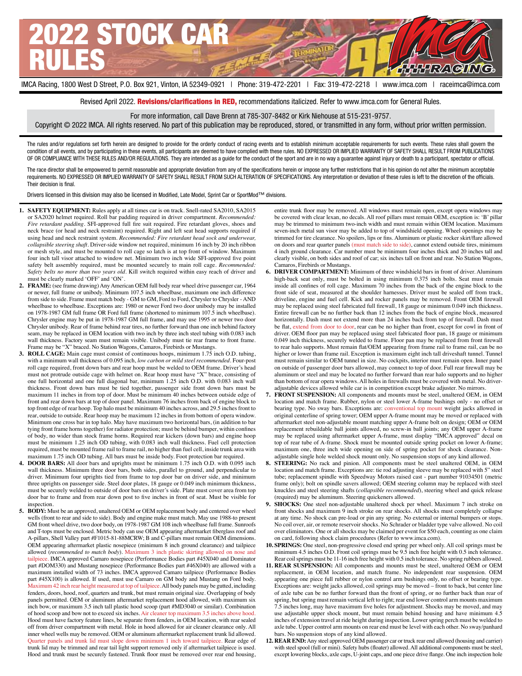

Revised April 2022. Revisions/clarifications in RED, recommendations italicized. Refer to www.imca.com for General Rules.

For more information, call Dave Brenn at 785-307-8482 or Kirk Niehouse at 515-231-9757.

Copyright © 2022 IMCA. All rights reserved. No part of this publication may be reproduced, stored, or transmitted in any form, without prior written permission.

The rules and/or regulations set forth herein are designed to provide for the orderly conduct of racing events and to establish minimum acceptable requirements for such events. These rules shall govern the condition of all events, and by participating in these events, all participants are deemed to have complied with these rules. NO EXPRESSED OR IMPLIED WARRANTY OF SAFETY SHALL RESULT FROM PUBLICATIONS OF OR COMPLIANCE WITH THESE RULES AND/OR REGULATIONS. They are intended as a guide for the conduct of the sport and are in no way a guarantee against injury or death to a participant, spectator or official.

The race director shall be empowered to permit reasonable and appropriate deviation from any of the specifications herein or impose any further restrictions that in his opinion do not alter the minimum acceptable requirements. NO EXPRESSED OR IMPLIED WARRANTY OF SAFETY SHALL RESULT FROM SUCH ALTERATION OF SPECIFICATIONS. Any interpretation or deviation of these rules is left to the discretion of the officials. Their decision is final.

Drivers licensed in this division may also be licensed in Modified, Late Model, Sprint Car or SportMod™ divisions.

- **1. SAFETY EQUIPMENT:** Rules apply at all times car is on track. Snell-rated SA2010, SA2015 or SA2020 helmet required. Roll bar padding required in driver compartment. *Recommended: Fire retardant padding*. SFI-approved full fire suit required. Fire retardant gloves, shoes and neck brace (or head and neck restraint) required. Right and left seat head supports required if using head and neck restraint system. *Recommended: Fire retardant head sock and underwear, collapsible steering shaft*. Driver-side window net required, minimum 16 inch by 20 inch ribbon or mesh style, and must be mounted to roll cage so latch is at top front of window. Maximum four inch tall visor attached to window net. Minimum two inch wide SFI-approved five point safety belt assembly required, must be mounted securely to main roll cage. *Recommended: Safety belts no more than two years old*. Kill switch required within easy reach of driver and must be clearly marked 'OFF' and 'ON'.
- **2. FRAME:** (see frame drawing) Any American OEM full body rear wheel drive passenger car, 1964 or newer, full frame or unibody. Minimum 107.5 inch wheelbase, maximum one inch difference from side to side. Frame must match body - GM to GM, Ford to Ford, Chrysler to Chrysler - AND wheelbase to wheelbase. Exceptions are: 1980 or newer Ford two door unibody may be installed on 1978-1987 GM full frame OR Ford full frame (shortened to minimum 107.5 inch wheelbase). Chrysler engine may be put in 1978-1987 GM full frame, and may use 1995 or newer two door Chrysler unibody. Rear of frame behind rear tires, no further forward than one inch behind factory seam, may be replaced in OEM location with two inch by three inch steel tubing with 0.083 inch wall thickness. Factory seam must remain visible. Unibody must tie rear frame to front frame. Frame may be "X" braced. No Station Wagons, Camaros, Firebirds or Mustangs.
- **3. ROLL CAGE:** Main cage must consist of continuous hoops, minimum 1.75 inch O.D. tubing, with a minimum wall thickness of 0.095 inch, *low carbon or mild steel recommended*. Four-post roll cage required, front down bars and rear hoop must be welded to OEM frame. Driver's head must not protrude outside cage with helmet on. Rear hoop must have "X" brace, consisting of one full horizontal and one full diagonal bar, minimum 1.25 inch O.D. with 0.083 inch wall thickness. Front down bars must be tied together, passenger side front down bars must be maximum 11 inches in from top of door. Must be minimum 40 inches between outside edge of front and rear down bars at top of door panel. Maximum 76 inches from back of engine block to top front edge of rear hoop. Top halo must be minimum 40 inches across, and 29.5 inches front to rear, outside to outside. Rear hoop may be maximum 12 inches in from bottom of opera window. Minimum one cross bar in top halo. May have maximum two horizontal bars, (in addition to bar tying front frame horns together) for radiator protection; must be behind bumper, within confines of body, no wider than stock frame horns. Required rear kickers (down bars) and engine hoop must be minimum 1.25 inch OD tubing, with 0.083 inch wall thickness. Fuel cell protection required, must be mounted frame rail to frame rail, no higher than fuel cell, inside trunk area with maximum 1.75 inch OD tubing. All bars must be inside body. Foot protection bar required.
- **4. DOOR BARS:** All door bars and uprights must be minimum 1.75 inch O.D. with 0.095 inch wall thickness. Minimum three door bars, both sides, parallel to ground, and perpendicular to driver. Minimum four uprights tied from frame to top door bar on driver side, and minimum three uprights on passenger side. Steel door plates, 18 gauge or 0.049 inch minimum thickness, must be securely welded to outside of door bars on driver's side. Plate must cover area from top door bar to frame and from rear down post to five inches in front of seat. Must be visible for inspection.
- **5. BODY:** Must be an approved, unaltered OEM or OEM replacement body and centered over wheel wells (front to rear and side to side). Body and engine make must match. May use 1988-to present GM front wheel drive, two door body, on 1978-1987 GM 108 inch wheelbase full frame. Sunroofs and T-tops must be enclosed. Metric body can use OEM appearing aftermarket fiberglass roof and A-pillars, Shell Valley part #F1015-81-88MCRW; B and C-pillars must remain OEM dimensions. OEM appearing aftermarket plastic nosepiece (minimum 8 inch ground clearance) and tailpiece allowed (*recommended to match body*). Maximum 3 inch plastic skirting allowed on nose and tailpiece. IMCA approved Camaro nosepiece (Performance Bodies part #45X040 and Dominator part #DOM330) and Mustang nosepiece (Performance Bodies part #46X040) are allowed with a maximum installed width of 73 inches. IMCA approved Camaro tailpiece (Performance Bodies part #45X100) is allowed. If used, must use Camaro on GM body and Mustang on Ford body. Maximum 42 inch rear height measured at top of tailpiece. All body panels may be gutted, including fenders, doors, hood, roof, quarters and trunk, but must remain original size. Overlapping of body panels permitted. OEM or aluminum aftermarket replacement hood allowed, with maximum six inch bow, or maximum 3.5 inch tall plastic hood scoop (part #MD3040 or similar). Combination of hood scoop and bow not to exceed six inches. Air cleaner top maximum 3.5 inches above hood. Hood must have factory feature lines, be separate from fenders, in OEM location, with rear sealed off from driver compartment with metal. Hole in hood allowed for air cleaner clearance only. All inner wheel wells may be removed. OEM or aluminum aftermarket replacement trunk lid allowed. Quarter panels and trunk lid must slope down minimum 1 inch toward tailpiece. Rear edge of trunk lid may be trimmed and rear tail light support removed only if aftermarket tailpiece is used. Hood and trunk must be securely fastened. Trunk floor must be removed over rear end housing,

entire trunk floor may be removed. All windows must remain open, except opera windows may be covered with clear lexan, no decals. All roof pillars must remain OEM, exception is: 'B' pillar may be trimmed to minimum two-inch width and must remain within OEM location. Maximum seven-inch metal sun visor may be added to top of windshield opening. Wheel openings may be trimmed for tire clearance. No spoilers, lips or fins. Aluminum or plastic rocker skirt/flare allowed on doors and rear quarter panels (must match side to side), cannot extend outside tires, minimum 4 inch ground clearance. Car number must be minimum four inches thick and 20 inches tall and clearly visible, on both sides and roof of car; six inches tall on front and rear. No Station Wagons, Camaros, Firebirds or Mustangs.

- **6. DRIVER COMPARTMENT:** Minimum of three windshield bars in front of driver. Aluminum high-back seat only, must be bolted in using minimum 0.375 inch bolts. Seat must remain inside all confines of roll cage. Maximum 70 inches from the back of the engine block to the front side of seat, measured at the shoulder harnesses. Driver must be sealed off from track, driveline, engine and fuel cell. Kick and rocker panels may be removed. Front OEM firewall may be replaced using steel fabricated full firewall, 18 gauge or minimum 0.049 inch thickness. Entire firewall can be no further back than 12 inches from the back of engine block, measured horizontally. Dash must not extend more than 24 inches back from top of firewall. Dash must be flat, extend from door to door, rear can be no higher than front, except for cowl in front of driver. OEM floor pan may be replaced using steel fabricated floor pan, 18 gauge or minimum 0.049 inch thickness, securely welded to frame. Floor pan may be replaced from front firewall to rear halo supports. Must remain flat/OEM appearing from frame rail to frame rail, can be no higher or lower than frame rail. Exception is maximum eight inch tall driveshaft tunnel. Tunnel must remain similar to OEM tunnel in size. No cockpits, interior must remain open. Inner panel on outside of passenger door bars allowed, may connect to top of door. Full rear firewall may be aluminum or steel and may be located no further forward than rear halo supports and no higher than bottom of rear opera windows. All holes in firewalls must be covered with metal. No driveradjustable devices allowed while car is in competition except brake adjuster. No mirrors.
- **7. FRONT SUSPENSION:** All components and mounts must be steel, unaltered OEM, in OEM location and match frame. Rubber, nylon or steel lower A-frame bushings only - no offset or bearing type. No sway bars. Exceptions are: conventional top mount weight jacks allowed in original centerline of spring tower; OEM upper A-frame mount may be moved or replaced with aftermarket steel non-adjustable mount matching upper A-frame bolt on design; OEM or OEM replacement rebuildable ball joints allowed, no screw-in ball joints; any OEM upper A-frame may be replaced using aftermarket upper A-frame, must display "IMCA approved" decal on top of rear tube of A-frame. Shock must be mounted outside spring pocket on lower A-frame; maximum one, three inch wide opening on side of spring pocket for shock clearance. Nonadjustable single hole welded shock mount only. No suspension stops of any kind allowed.
- **8. STEERING:** No rack and pinion. All components must be steel unaltered OEM, in OEM location and match frame. Exceptions are: tie rod adjusting sleeve may be replaced with 5" steel tube; replacement spindle with Speedway Motors raised cast - part number 91034501 (metric frame only); bolt on spindle savers allowed; OEM steering column may be replaced with steel knuckles and steel steering shafts (*collapsible recommended*), steering wheel and quick release (required) may be aluminum. Steering quickeners allowed.
- **9. SHOCKS:** One steel non-adjustable unaltered shock per wheel. Maximum 7 inch stroke on front shocks and maximum 9 inch stroke on rear shocks. All shocks must completely collapse at any time. No shock can pre-load or pin any spring. No external or internal bumpers or stops. No coil over, air, or remote reservoir shocks. No Schrader or bladder type valve allowed. No coil over eliminators. One or all shocks may be claimed per event for \$50 each, counting as one claim on card, following shock claim procedures (Refer to www.imca.com).
- **10. SPRINGS:** One steel, non-progressive closed end spring per wheel only. All coil springs must be minimum 4.5 inches O.D. Front coil springs must be 9.5 inch free height with 0.5 inch tolerance. Rear coil springs must be 11-16 inch free height with 0.5 inch tolerance. No spring rubbers allowed.
- **11. REAR SUSPENSION:** All components and mounts must be steel, unaltered OEM or OEM replacement, in OEM location, and match frame. No independent rear suspension. OEM appearing one piece full rubber or nylon control arm bushings only, no offset or bearing type. Exceptions are: weight jacks allowed, coil springs may be moved – front to back, but center line of axle tube can be no further forward than the front of spring, or no further back than rear of spring, but spring must remain vertical left to right; rear end lower control arm mounts maximum 7.5 inches long, may have maximum five holes for adjustment. Shocks may be moved, and may use adjustable upper shock mount, but must remain behind housing and have minimum 4.5 inches of extension travel at ride height during inspection. Lower spring perch must be welded to axle tube. Upper control arm mounts on rear end must be level with each other. No sway/panhard bars. No suspension stops of any kind allowed.
- **12. REAR END:** Any steel approved OEM passenger car or truck rear end allowed (housing and carrier) with steel spool (full or mini). Safety hubs (floater) allowed. All additional components must be steel, except lowering blocks, axle caps, U-joint caps, and one piece drive flange. One inch inspection hole